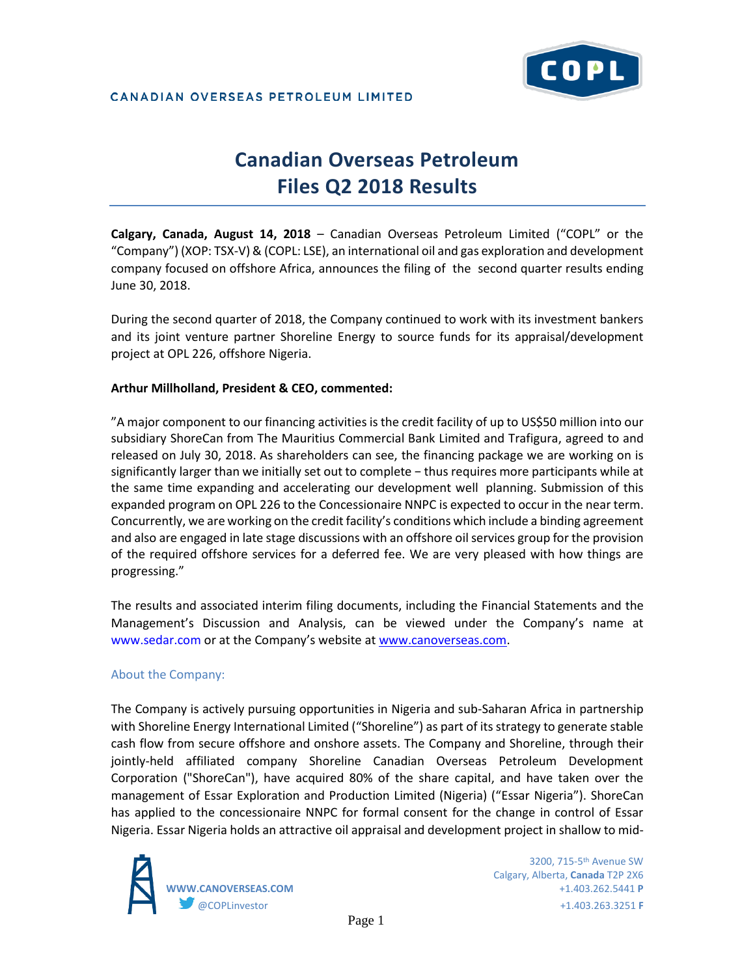

### CANADIAN OVERSEAS PETROLEUM LIMITED

# **Canadian Overseas Petroleum Files Q2 2018 Results**

**Calgary, Canada, August 14, 2018** – Canadian Overseas Petroleum Limited ("COPL" or the "Company") (XOP: TSX-V) & (COPL: LSE), an international oil and gas exploration and development company focused on offshore Africa, announces the filing of the second quarter results ending June 30, 2018.

During the second quarter of 2018, the Company continued to work with its investment bankers and its joint venture partner Shoreline Energy to source funds for its appraisal/development project at OPL 226, offshore Nigeria.

## **Arthur Millholland, President & CEO, commented:**

"A major component to our financing activities is the credit facility of up to US\$50 million into our subsidiary ShoreCan from The Mauritius Commercial Bank Limited and Trafigura, agreed to and released on July 30, 2018. As shareholders can see, the financing package we are working on is significantly larger than we initially set out to complete − thus requires more participants while at the same time expanding and accelerating our development well planning. Submission of this expanded program on OPL 226 to the Concessionaire NNPC is expected to occur in the near term. Concurrently, we are working on the credit facility's conditions which include a binding agreement and also are engaged in late stage discussions with an offshore oil services group for the provision of the required offshore services for a deferred fee. We are very pleased with how things are progressing."

The results and associated interim filing documents, including the Financial Statements and the Management's Discussion and Analysis, can be viewed under the Company's name at www.sedar.com or at the Company's website at [www.canoverseas.com.](http://www.canoverseas.com/)

## About the Company:

The Company is actively pursuing opportunities in Nigeria and sub-Saharan Africa in partnership with Shoreline Energy International Limited ("Shoreline") as part of its strategy to generate stable cash flow from secure offshore and onshore assets. The Company and Shoreline, through their jointly-held affiliated company Shoreline Canadian Overseas Petroleum Development Corporation ("ShoreCan"), have acquired 80% of the share capital, and have taken over the management of Essar Exploration and Production Limited (Nigeria) ("Essar Nigeria"). ShoreCan has applied to the concessionaire NNPC for formal consent for the change in control of Essar Nigeria. Essar Nigeria holds an attractive oil appraisal and development project in shallow to mid-



Calgary, Alberta, **Canada** T2P 2X6 **WWW.CANOVERSEAS.COM** +1.403.262.5441 **P** @COPLinvestor +1.403.263.3251 **F**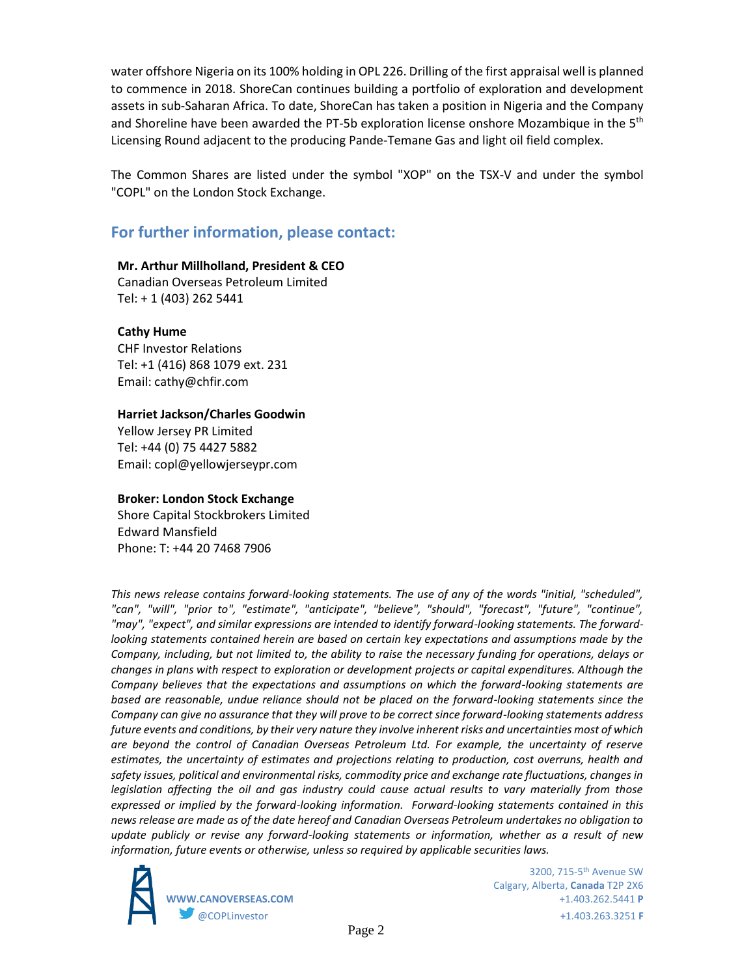water offshore Nigeria on its 100% holding in OPL 226. Drilling of the first appraisal well is planned to commence in 2018. ShoreCan continues building a portfolio of exploration and development assets in sub-Saharan Africa. To date, ShoreCan has taken a position in Nigeria and the Company and Shoreline have been awarded the PT-5b exploration license onshore Mozambique in the 5<sup>th</sup> Licensing Round adjacent to the producing Pande-Temane Gas and light oil field complex.

The Common Shares are listed under the symbol "XOP" on the TSX-V and under the symbol "COPL" on the London Stock Exchange.

# **For further information, please contact:**

## **Mr. Arthur Millholland, President & CEO**

Canadian Overseas Petroleum Limited Tel: + 1 (403) 262 5441

## **Cathy Hume**

CHF Investor Relations Tel: +1 (416) 868 1079 ext. 231 Email: cathy@chfir.com

#### **Harriet Jackson/Charles Goodwin**

Yellow Jersey PR Limited Tel: +44 (0) 75 4427 5882 Email: copl@yellowjerseypr.com

## **Broker: London Stock Exchange**

Shore Capital Stockbrokers Limited Edward Mansfield Phone: T: +44 20 7468 7906

*This news release contains forward-looking statements. The use of any of the words "initial, "scheduled", "can", "will", "prior to", "estimate", "anticipate", "believe", "should", "forecast", "future", "continue", "may", "expect", and similar expressions are intended to identify forward-looking statements. The forwardlooking statements contained herein are based on certain key expectations and assumptions made by the Company, including, but not limited to, the ability to raise the necessary funding for operations, delays or changes in plans with respect to exploration or development projects or capital expenditures. Although the Company believes that the expectations and assumptions on which the forward-looking statements are based are reasonable, undue reliance should not be placed on the forward-looking statements since the Company can give no assurance that they will prove to be correct since forward-looking statements address future events and conditions, by their very nature they involve inherent risks and uncertainties most of which are beyond the control of Canadian Overseas Petroleum Ltd. For example, the uncertainty of reserve estimates, the uncertainty of estimates and projections relating to production, cost overruns, health and safety issues, political and environmental risks, commodity price and exchange rate fluctuations, changes in legislation affecting the oil and gas industry could cause actual results to vary materially from those expressed or implied by the forward-looking information. Forward-looking statements contained in this news release are made as of the date hereof and Canadian Overseas Petroleum undertakes no obligation to update publicly or revise any forward-looking statements or information, whether as a result of new information, future events or otherwise, unless so required by applicable securities laws.* 



Calgary, Alberta, **Canada** T2P 2X6 **WWW.CANOVERSEAS.COM** +1.403.262.5441 **P** @COPLinvestor +1.403.263.3251 **F**